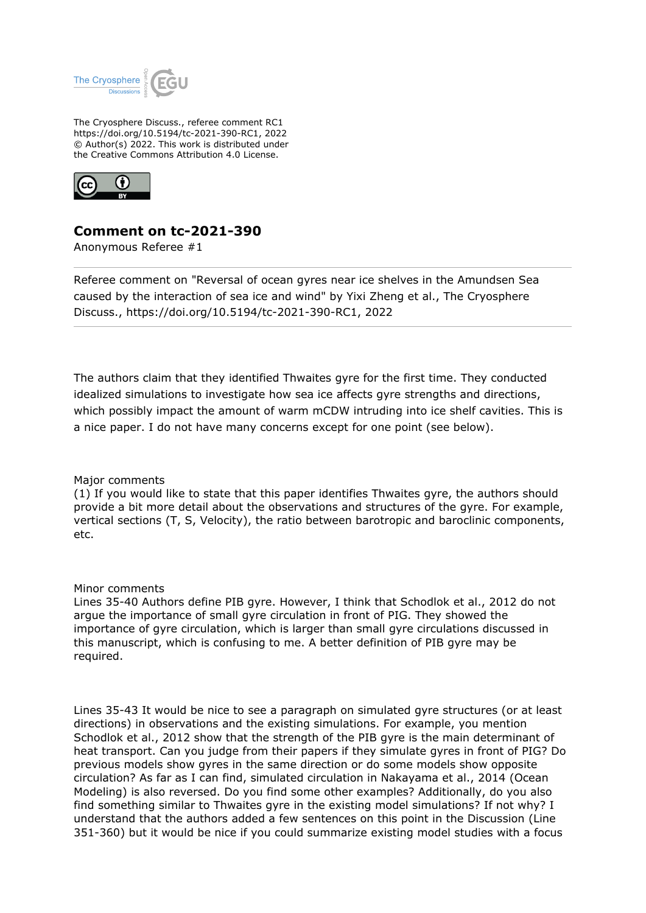

The Cryosphere Discuss., referee comment RC1 https://doi.org/10.5194/tc-2021-390-RC1, 2022 © Author(s) 2022. This work is distributed under the Creative Commons Attribution 4.0 License.



## **Comment on tc-2021-390**

Anonymous Referee #1

Referee comment on "Reversal of ocean gyres near ice shelves in the Amundsen Sea caused by the interaction of sea ice and wind" by Yixi Zheng et al., The Cryosphere Discuss., https://doi.org/10.5194/tc-2021-390-RC1, 2022

The authors claim that they identified Thwaites gyre for the first time. They conducted idealized simulations to investigate how sea ice affects gyre strengths and directions, which possibly impact the amount of warm mCDW intruding into ice shelf cavities. This is a nice paper. I do not have many concerns except for one point (see below).

## Major comments

(1) If you would like to state that this paper identifies Thwaites gyre, the authors should provide a bit more detail about the observations and structures of the gyre. For example, vertical sections (T, S, Velocity), the ratio between barotropic and baroclinic components, etc.

## Minor comments

Lines 35-40 Authors define PIB gyre. However, I think that Schodlok et al., 2012 do not argue the importance of small gyre circulation in front of PIG. They showed the importance of gyre circulation, which is larger than small gyre circulations discussed in this manuscript, which is confusing to me. A better definition of PIB gyre may be required.

Lines 35-43 It would be nice to see a paragraph on simulated gyre structures (or at least directions) in observations and the existing simulations. For example, you mention Schodlok et al., 2012 show that the strength of the PIB gyre is the main determinant of heat transport. Can you judge from their papers if they simulate gyres in front of PIG? Do previous models show gyres in the same direction or do some models show opposite circulation? As far as I can find, simulated circulation in Nakayama et al., 2014 (Ocean Modeling) is also reversed. Do you find some other examples? Additionally, do you also find something similar to Thwaites gyre in the existing model simulations? If not why? I understand that the authors added a few sentences on this point in the Discussion (Line 351-360) but it would be nice if you could summarize existing model studies with a focus